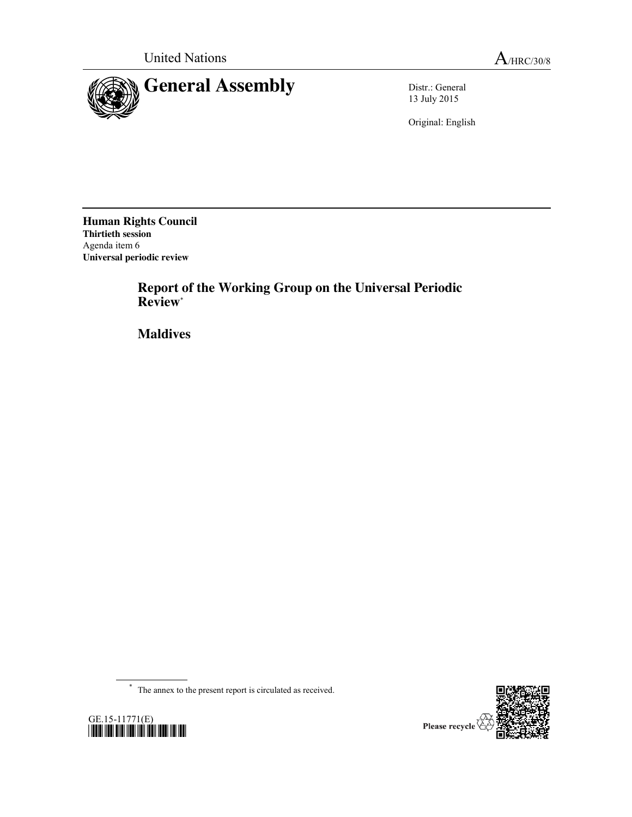



13 July 2015

Original: English

**Human Rights Council Thirtieth session** Agenda item 6 **Universal periodic review**

> **Report of the Working Group on the Universal Periodic Review**\*

**Maldives**

\* The annex to the present report is circulated as received.



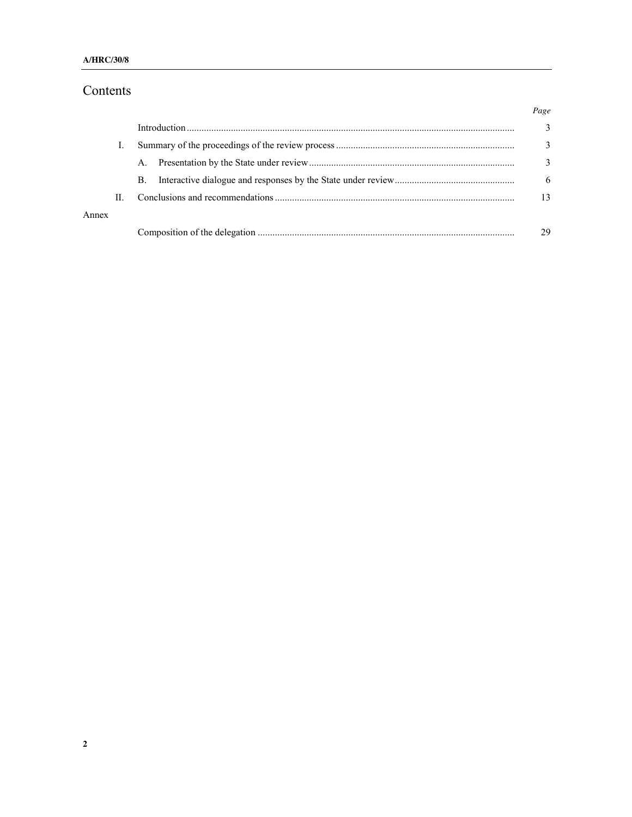# Contents

|       |    | $A_{\cdot}$ |  |
|-------|----|-------------|--|
|       |    | B.          |  |
|       | H. |             |  |
| Annex |    |             |  |
|       |    |             |  |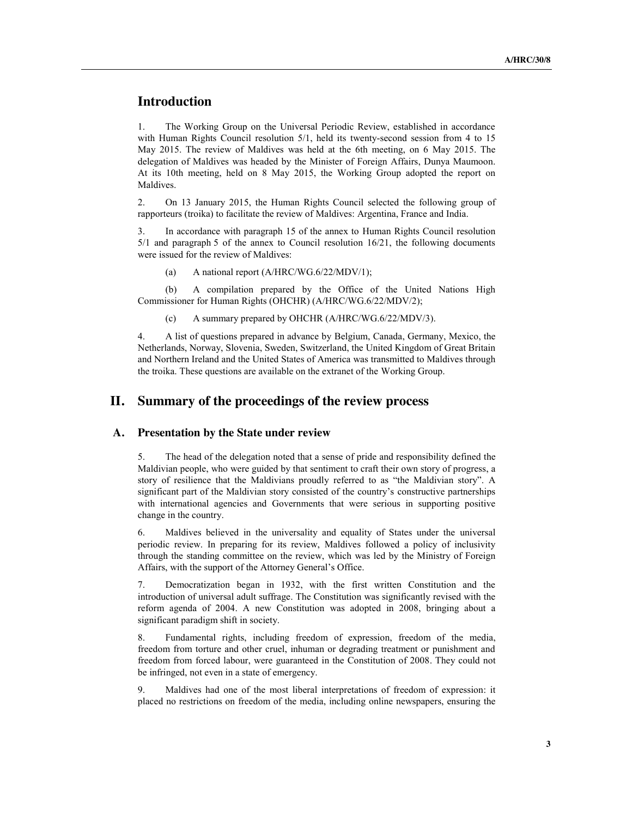## **Introduction**

1. The Working Group on the Universal Periodic Review, established in accordance with Human Rights Council resolution 5/1, held its twenty-second session from 4 to 15 May 2015. The review of Maldives was held at the 6th meeting, on 6 May 2015. The delegation of Maldives was headed by the Minister of Foreign Affairs, Dunya Maumoon. At its 10th meeting, held on 8 May 2015, the Working Group adopted the report on Maldives.

2. On 13 January 2015, the Human Rights Council selected the following group of rapporteurs (troika) to facilitate the review of Maldives: Argentina, France and India.

In accordance with paragraph 15 of the annex to Human Rights Council resolution 5/1 and paragraph 5 of the annex to Council resolution 16/21, the following documents were issued for the review of Maldives:

(a) A national report (A/HRC/WG.6/22/MDV/1);

(b) A compilation prepared by the Office of the United Nations High Commissioner for Human Rights (OHCHR) (A/HRC/WG.6/22/MDV/2);

(c) A summary prepared by OHCHR (A/HRC/WG.6/22/MDV/3).

4. A list of questions prepared in advance by Belgium, Canada, Germany, Mexico, the Netherlands, Norway, Slovenia, Sweden, Switzerland, the United Kingdom of Great Britain and Northern Ireland and the United States of America was transmitted to Maldives through the troika. These questions are available on the extranet of the Working Group.

### **II. Summary of the proceedings of the review process**

#### **A. Presentation by the State under review**

5. The head of the delegation noted that a sense of pride and responsibility defined the Maldivian people, who were guided by that sentiment to craft their own story of progress, a story of resilience that the Maldivians proudly referred to as "the Maldivian story". A significant part of the Maldivian story consisted of the country's constructive partnerships with international agencies and Governments that were serious in supporting positive change in the country.

6. Maldives believed in the universality and equality of States under the universal periodic review. In preparing for its review, Maldives followed a policy of inclusivity through the standing committee on the review, which was led by the Ministry of Foreign Affairs, with the support of the Attorney General's Office.

7. Democratization began in 1932, with the first written Constitution and the introduction of universal adult suffrage. The Constitution was significantly revised with the reform agenda of 2004. A new Constitution was adopted in 2008, bringing about a significant paradigm shift in society.

8. Fundamental rights, including freedom of expression, freedom of the media, freedom from torture and other cruel, inhuman or degrading treatment or punishment and freedom from forced labour, were guaranteed in the Constitution of 2008. They could not be infringed, not even in a state of emergency.

9. Maldives had one of the most liberal interpretations of freedom of expression: it placed no restrictions on freedom of the media, including online newspapers, ensuring the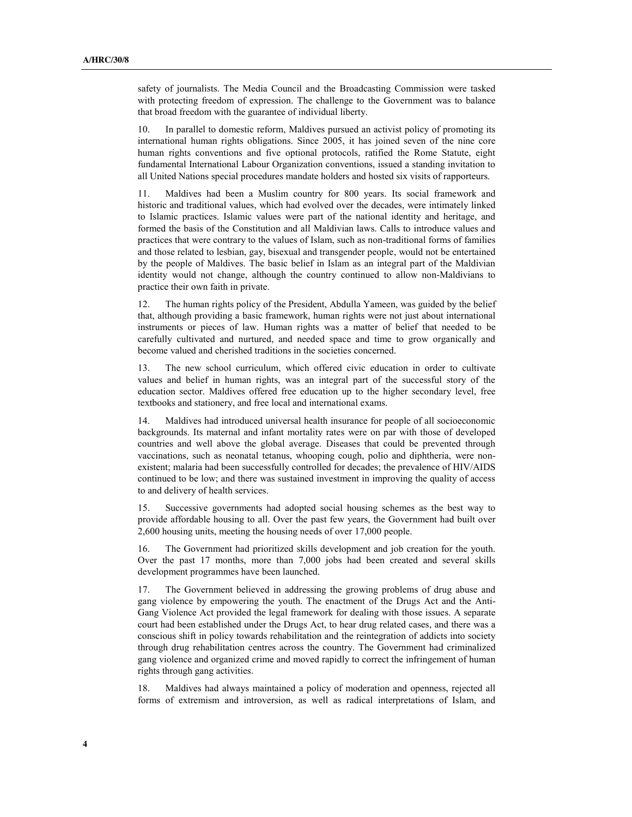safety of journalists. The Media Council and the Broadcasting Commission were tasked with protecting freedom of expression. The challenge to the Government was to balance that broad freedom with the guarantee of individual liberty.

10. In parallel to domestic reform, Maldives pursued an activist policy of promoting its international human rights obligations. Since 2005, it has joined seven of the nine core human rights conventions and five optional protocols, ratified the Rome Statute, eight fundamental International Labour Organization conventions, issued a standing invitation to all United Nations special procedures mandate holders and hosted six visits of rapporteurs.

Maldives had been a Muslim country for 800 years. Its social framework and historic and traditional values, which had evolved over the decades, were intimately linked to Islamic practices. Islamic values were part of the national identity and heritage, and formed the basis of the Constitution and all Maldivian laws. Calls to introduce values and practices that were contrary to the values of Islam, such as non-traditional forms of families and those related to lesbian, gay, bisexual and transgender people, would not be entertained by the people of Maldives. The basic belief in Islam as an integral part of the Maldivian identity would not change, although the country continued to allow non-Maldivians to practice their own faith in private.

12. The human rights policy of the President, Abdulla Yameen, was guided by the belief that, although providing a basic framework, human rights were not just about international instruments or pieces of law. Human rights was a matter of belief that needed to be carefully cultivated and nurtured, and needed space and time to grow organically and become valued and cherished traditions in the societies concerned.

13. The new school curriculum, which offered civic education in order to cultivate values and belief in human rights, was an integral part of the successful story of the education sector. Maldives offered free education up to the higher secondary level, free textbooks and stationery, and free local and international exams.

14. Maldives had introduced universal health insurance for people of all socioeconomic backgrounds. Its maternal and infant mortality rates were on par with those of developed countries and well above the global average. Diseases that could be prevented through vaccinations, such as neonatal tetanus, whooping cough, polio and diphtheria, were nonexistent; malaria had been successfully controlled for decades; the prevalence of HIV/AIDS continued to be low; and there was sustained investment in improving the quality of access to and delivery of health services.

15. Successive governments had adopted social housing schemes as the best way to provide affordable housing to all. Over the past few years, the Government had built over 2,600 housing units, meeting the housing needs of over 17,000 people.

16. The Government had prioritized skills development and job creation for the youth. Over the past 17 months, more than 7,000 jobs had been created and several skills development programmes have been launched.

17. The Government believed in addressing the growing problems of drug abuse and gang violence by empowering the youth. The enactment of the Drugs Act and the Anti-Gang Violence Act provided the legal framework for dealing with those issues. A separate court had been established under the Drugs Act, to hear drug related cases, and there was a conscious shift in policy towards rehabilitation and the reintegration of addicts into society through drug rehabilitation centres across the country. The Government had criminalized gang violence and organized crime and moved rapidly to correct the infringement of human rights through gang activities.

18. Maldives had always maintained a policy of moderation and openness, rejected all forms of extremism and introversion, as well as radical interpretations of Islam, and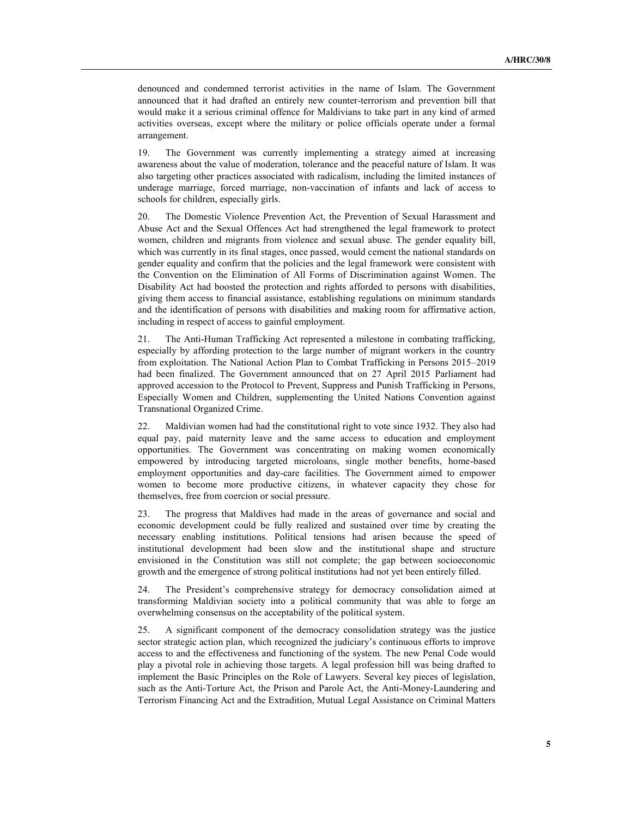denounced and condemned terrorist activities in the name of Islam. The Government announced that it had drafted an entirely new counter-terrorism and prevention bill that would make it a serious criminal offence for Maldivians to take part in any kind of armed activities overseas, except where the military or police officials operate under a formal arrangement.

19. The Government was currently implementing a strategy aimed at increasing awareness about the value of moderation, tolerance and the peaceful nature of Islam. It was also targeting other practices associated with radicalism, including the limited instances of underage marriage, forced marriage, non-vaccination of infants and lack of access to schools for children, especially girls.

20. The Domestic Violence Prevention Act, the Prevention of Sexual Harassment and Abuse Act and the Sexual Offences Act had strengthened the legal framework to protect women, children and migrants from violence and sexual abuse. The gender equality bill, which was currently in its final stages, once passed, would cement the national standards on gender equality and confirm that the policies and the legal framework were consistent with the Convention on the Elimination of All Forms of Discrimination against Women. The Disability Act had boosted the protection and rights afforded to persons with disabilities, giving them access to financial assistance, establishing regulations on minimum standards and the identification of persons with disabilities and making room for affirmative action, including in respect of access to gainful employment.

21. The Anti-Human Trafficking Act represented a milestone in combating trafficking, especially by affording protection to the large number of migrant workers in the country from exploitation. The National Action Plan to Combat Trafficking in Persons 2015–2019 had been finalized. The Government announced that on 27 April 2015 Parliament had approved accession to the Protocol to Prevent, Suppress and Punish Trafficking in Persons, Especially Women and Children, supplementing the United Nations Convention against Transnational Organized Crime.

22. Maldivian women had had the constitutional right to vote since 1932. They also had equal pay, paid maternity leave and the same access to education and employment opportunities. The Government was concentrating on making women economically empowered by introducing targeted microloans, single mother benefits, home-based employment opportunities and day-care facilities. The Government aimed to empower women to become more productive citizens, in whatever capacity they chose for themselves, free from coercion or social pressure.

23. The progress that Maldives had made in the areas of governance and social and economic development could be fully realized and sustained over time by creating the necessary enabling institutions. Political tensions had arisen because the speed of institutional development had been slow and the institutional shape and structure envisioned in the Constitution was still not complete; the gap between socioeconomic growth and the emergence of strong political institutions had not yet been entirely filled.

24. The President's comprehensive strategy for democracy consolidation aimed at transforming Maldivian society into a political community that was able to forge an overwhelming consensus on the acceptability of the political system.

25. A significant component of the democracy consolidation strategy was the justice sector strategic action plan, which recognized the judiciary's continuous efforts to improve access to and the effectiveness and functioning of the system. The new Penal Code would play a pivotal role in achieving those targets. A legal profession bill was being drafted to implement the Basic Principles on the Role of Lawyers. Several key pieces of legislation, such as the Anti-Torture Act, the Prison and Parole Act, the Anti-Money-Laundering and Terrorism Financing Act and the Extradition, Mutual Legal Assistance on Criminal Matters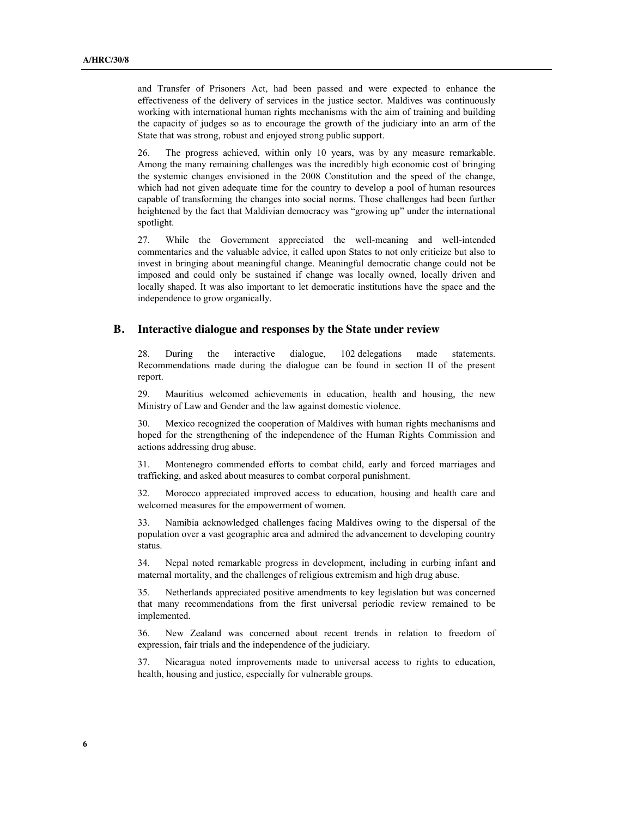and Transfer of Prisoners Act, had been passed and were expected to enhance the effectiveness of the delivery of services in the justice sector. Maldives was continuously working with international human rights mechanisms with the aim of training and building the capacity of judges so as to encourage the growth of the judiciary into an arm of the State that was strong, robust and enjoyed strong public support.

26. The progress achieved, within only 10 years, was by any measure remarkable. Among the many remaining challenges was the incredibly high economic cost of bringing the systemic changes envisioned in the 2008 Constitution and the speed of the change, which had not given adequate time for the country to develop a pool of human resources capable of transforming the changes into social norms. Those challenges had been further heightened by the fact that Maldivian democracy was "growing up" under the international spotlight.

27. While the Government appreciated the well-meaning and well-intended commentaries and the valuable advice, it called upon States to not only criticize but also to invest in bringing about meaningful change. Meaningful democratic change could not be imposed and could only be sustained if change was locally owned, locally driven and locally shaped. It was also important to let democratic institutions have the space and the independence to grow organically.

#### **B. Interactive dialogue and responses by the State under review**

28. During the interactive dialogue, 102 delegations made statements. Recommendations made during the dialogue can be found in section II of the present report.

29. Mauritius welcomed achievements in education, health and housing, the new Ministry of Law and Gender and the law against domestic violence.

30. Mexico recognized the cooperation of Maldives with human rights mechanisms and hoped for the strengthening of the independence of the Human Rights Commission and actions addressing drug abuse.

31. Montenegro commended efforts to combat child, early and forced marriages and trafficking, and asked about measures to combat corporal punishment.

32. Morocco appreciated improved access to education, housing and health care and welcomed measures for the empowerment of women.

Namibia acknowledged challenges facing Maldives owing to the dispersal of the population over a vast geographic area and admired the advancement to developing country status.

34. Nepal noted remarkable progress in development, including in curbing infant and maternal mortality, and the challenges of religious extremism and high drug abuse.

35. Netherlands appreciated positive amendments to key legislation but was concerned that many recommendations from the first universal periodic review remained to be implemented.

36. New Zealand was concerned about recent trends in relation to freedom of expression, fair trials and the independence of the judiciary.

37. Nicaragua noted improvements made to universal access to rights to education, health, housing and justice, especially for vulnerable groups.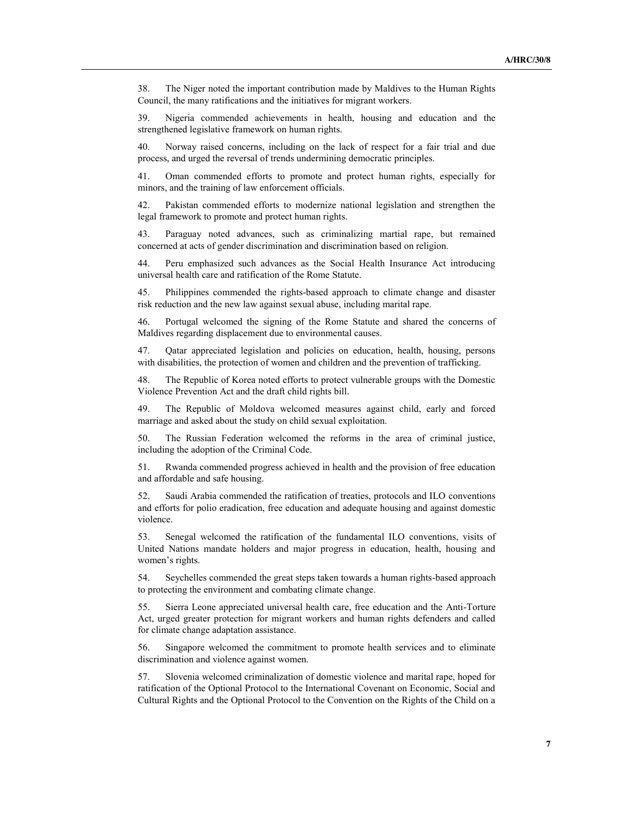38. The Niger noted the important contribution made by Maldives to the Human Rights Council, the many ratifications and the initiatives for migrant workers.

39. Nigeria commended achievements in health, housing and education and the strengthened legislative framework on human rights.

40. Norway raised concerns, including on the lack of respect for a fair trial and due process, and urged the reversal of trends undermining democratic principles.

41. Oman commended efforts to promote and protect human rights, especially for minors, and the training of law enforcement officials.

42. Pakistan commended efforts to modernize national legislation and strengthen the legal framework to promote and protect human rights.

43. Paraguay noted advances, such as criminalizing martial rape, but remained concerned at acts of gender discrimination and discrimination based on religion.

44. Peru emphasized such advances as the Social Health Insurance Act introducing universal health care and ratification of the Rome Statute.

45. Philippines commended the rights-based approach to climate change and disaster risk reduction and the new law against sexual abuse, including marital rape.

46. Portugal welcomed the signing of the Rome Statute and shared the concerns of Maldives regarding displacement due to environmental causes.

47. Qatar appreciated legislation and policies on education, health, housing, persons with disabilities, the protection of women and children and the prevention of trafficking.

48. The Republic of Korea noted efforts to protect vulnerable groups with the Domestic Violence Prevention Act and the draft child rights bill.

49. The Republic of Moldova welcomed measures against child, early and forced marriage and asked about the study on child sexual exploitation.

50. The Russian Federation welcomed the reforms in the area of criminal justice, including the adoption of the Criminal Code.

51. Rwanda commended progress achieved in health and the provision of free education and affordable and safe housing.

52. Saudi Arabia commended the ratification of treaties, protocols and ILO conventions and efforts for polio eradication, free education and adequate housing and against domestic violence.

53. Senegal welcomed the ratification of the fundamental ILO conventions, visits of United Nations mandate holders and major progress in education, health, housing and women's rights.

54. Seychelles commended the great steps taken towards a human rights-based approach to protecting the environment and combating climate change.

55. Sierra Leone appreciated universal health care, free education and the Anti-Torture Act, urged greater protection for migrant workers and human rights defenders and called for climate change adaptation assistance.

56. Singapore welcomed the commitment to promote health services and to eliminate discrimination and violence against women.

57. Slovenia welcomed criminalization of domestic violence and marital rape, hoped for ratification of the Optional Protocol to the International Covenant on Economic, Social and Cultural Rights and the Optional Protocol to the Convention on the Rights of the Child on a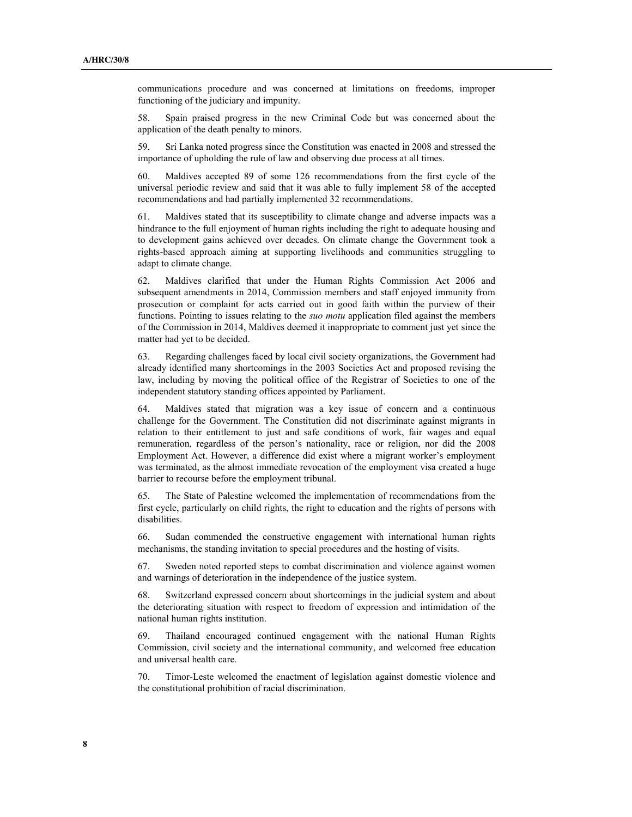communications procedure and was concerned at limitations on freedoms, improper functioning of the judiciary and impunity.

58. Spain praised progress in the new Criminal Code but was concerned about the application of the death penalty to minors.

59. Sri Lanka noted progress since the Constitution was enacted in 2008 and stressed the importance of upholding the rule of law and observing due process at all times.

60. Maldives accepted 89 of some 126 recommendations from the first cycle of the universal periodic review and said that it was able to fully implement 58 of the accepted recommendations and had partially implemented 32 recommendations.

61. Maldives stated that its susceptibility to climate change and adverse impacts was a hindrance to the full enjoyment of human rights including the right to adequate housing and to development gains achieved over decades. On climate change the Government took a rights-based approach aiming at supporting livelihoods and communities struggling to adapt to climate change.

62. Maldives clarified that under the Human Rights Commission Act 2006 and subsequent amendments in 2014, Commission members and staff enjoyed immunity from prosecution or complaint for acts carried out in good faith within the purview of their functions. Pointing to issues relating to the *suo motu* application filed against the members of the Commission in 2014, Maldives deemed it inappropriate to comment just yet since the matter had yet to be decided.

63. Regarding challenges faced by local civil society organizations, the Government had already identified many shortcomings in the 2003 Societies Act and proposed revising the law, including by moving the political office of the Registrar of Societies to one of the independent statutory standing offices appointed by Parliament.

64. Maldives stated that migration was a key issue of concern and a continuous challenge for the Government. The Constitution did not discriminate against migrants in relation to their entitlement to just and safe conditions of work, fair wages and equal remuneration, regardless of the person's nationality, race or religion, nor did the 2008 Employment Act. However, a difference did exist where a migrant worker's employment was terminated, as the almost immediate revocation of the employment visa created a huge barrier to recourse before the employment tribunal.

65. The State of Palestine welcomed the implementation of recommendations from the first cycle, particularly on child rights, the right to education and the rights of persons with disabilities.

66. Sudan commended the constructive engagement with international human rights mechanisms, the standing invitation to special procedures and the hosting of visits.

67. Sweden noted reported steps to combat discrimination and violence against women and warnings of deterioration in the independence of the justice system.

68. Switzerland expressed concern about shortcomings in the judicial system and about the deteriorating situation with respect to freedom of expression and intimidation of the national human rights institution.

69. Thailand encouraged continued engagement with the national Human Rights Commission, civil society and the international community, and welcomed free education and universal health care.

70. Timor-Leste welcomed the enactment of legislation against domestic violence and the constitutional prohibition of racial discrimination.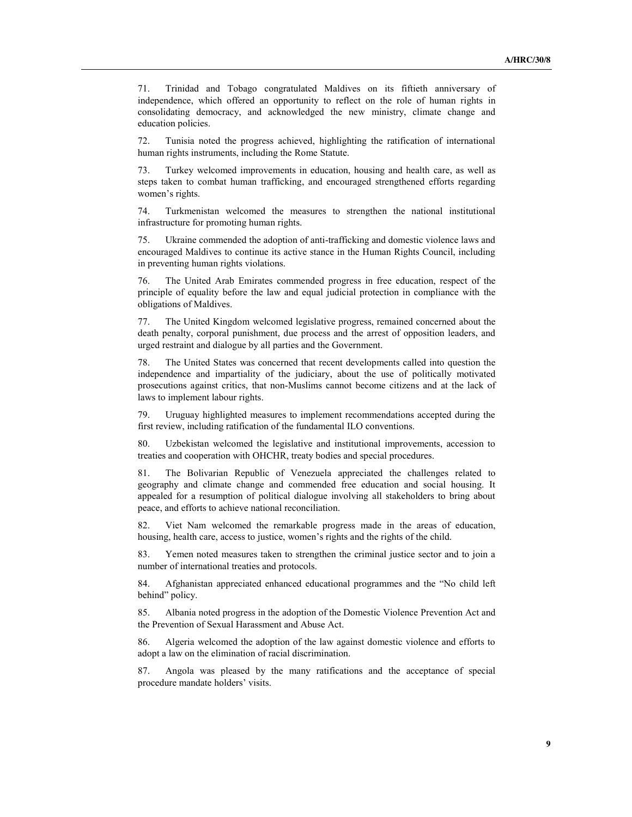71. Trinidad and Tobago congratulated Maldives on its fiftieth anniversary of independence, which offered an opportunity to reflect on the role of human rights in consolidating democracy, and acknowledged the new ministry, climate change and education policies.

72. Tunisia noted the progress achieved, highlighting the ratification of international human rights instruments, including the Rome Statute.

73. Turkey welcomed improvements in education, housing and health care, as well as steps taken to combat human trafficking, and encouraged strengthened efforts regarding women's rights.

74. Turkmenistan welcomed the measures to strengthen the national institutional infrastructure for promoting human rights.

75. Ukraine commended the adoption of anti-trafficking and domestic violence laws and encouraged Maldives to continue its active stance in the Human Rights Council, including in preventing human rights violations.

The United Arab Emirates commended progress in free education, respect of the principle of equality before the law and equal judicial protection in compliance with the obligations of Maldives.

77. The United Kingdom welcomed legislative progress, remained concerned about the death penalty, corporal punishment, due process and the arrest of opposition leaders, and urged restraint and dialogue by all parties and the Government.

78. The United States was concerned that recent developments called into question the independence and impartiality of the judiciary, about the use of politically motivated prosecutions against critics, that non-Muslims cannot become citizens and at the lack of laws to implement labour rights.

79. Uruguay highlighted measures to implement recommendations accepted during the first review, including ratification of the fundamental ILO conventions.

80. Uzbekistan welcomed the legislative and institutional improvements, accession to treaties and cooperation with OHCHR, treaty bodies and special procedures.

81. The Bolivarian Republic of Venezuela appreciated the challenges related to geography and climate change and commended free education and social housing. It appealed for a resumption of political dialogue involving all stakeholders to bring about peace, and efforts to achieve national reconciliation.

82. Viet Nam welcomed the remarkable progress made in the areas of education, housing, health care, access to justice, women's rights and the rights of the child.

83. Yemen noted measures taken to strengthen the criminal justice sector and to join a number of international treaties and protocols.

84. Afghanistan appreciated enhanced educational programmes and the "No child left behind" policy.

85. Albania noted progress in the adoption of the Domestic Violence Prevention Act and the Prevention of Sexual Harassment and Abuse Act.

86. Algeria welcomed the adoption of the law against domestic violence and efforts to adopt a law on the elimination of racial discrimination.

87. Angola was pleased by the many ratifications and the acceptance of special procedure mandate holders' visits.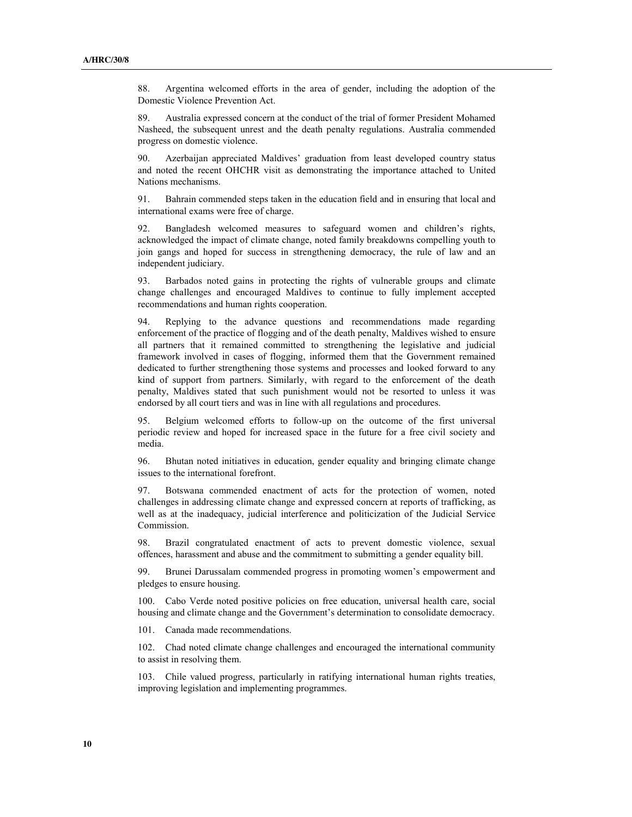88. Argentina welcomed efforts in the area of gender, including the adoption of the Domestic Violence Prevention Act.

89. Australia expressed concern at the conduct of the trial of former President Mohamed Nasheed, the subsequent unrest and the death penalty regulations. Australia commended progress on domestic violence.

90. Azerbaijan appreciated Maldives' graduation from least developed country status and noted the recent OHCHR visit as demonstrating the importance attached to United Nations mechanisms.

91. Bahrain commended steps taken in the education field and in ensuring that local and international exams were free of charge.

92. Bangladesh welcomed measures to safeguard women and children's rights, acknowledged the impact of climate change, noted family breakdowns compelling youth to join gangs and hoped for success in strengthening democracy, the rule of law and an independent judiciary.

93. Barbados noted gains in protecting the rights of vulnerable groups and climate change challenges and encouraged Maldives to continue to fully implement accepted recommendations and human rights cooperation.

94. Replying to the advance questions and recommendations made regarding enforcement of the practice of flogging and of the death penalty, Maldives wished to ensure all partners that it remained committed to strengthening the legislative and judicial framework involved in cases of flogging, informed them that the Government remained dedicated to further strengthening those systems and processes and looked forward to any kind of support from partners. Similarly, with regard to the enforcement of the death penalty, Maldives stated that such punishment would not be resorted to unless it was endorsed by all court tiers and was in line with all regulations and procedures.

95. Belgium welcomed efforts to follow-up on the outcome of the first universal periodic review and hoped for increased space in the future for a free civil society and media.

96. Bhutan noted initiatives in education, gender equality and bringing climate change issues to the international forefront.

97. Botswana commended enactment of acts for the protection of women, noted challenges in addressing climate change and expressed concern at reports of trafficking, as well as at the inadequacy, judicial interference and politicization of the Judicial Service Commission.

98. Brazil congratulated enactment of acts to prevent domestic violence, sexual offences, harassment and abuse and the commitment to submitting a gender equality bill.

99. Brunei Darussalam commended progress in promoting women's empowerment and pledges to ensure housing.

100. Cabo Verde noted positive policies on free education, universal health care, social housing and climate change and the Government's determination to consolidate democracy.

101. Canada made recommendations.

102. Chad noted climate change challenges and encouraged the international community to assist in resolving them.

103. Chile valued progress, particularly in ratifying international human rights treaties, improving legislation and implementing programmes.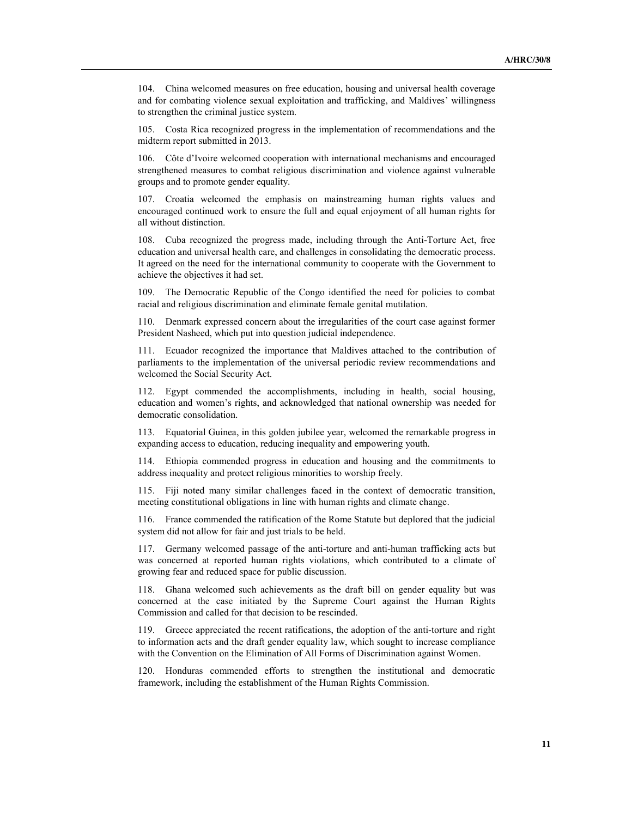104. China welcomed measures on free education, housing and universal health coverage and for combating violence sexual exploitation and trafficking, and Maldives' willingness to strengthen the criminal justice system.

105. Costa Rica recognized progress in the implementation of recommendations and the midterm report submitted in 2013.

106. Côte d'Ivoire welcomed cooperation with international mechanisms and encouraged strengthened measures to combat religious discrimination and violence against vulnerable groups and to promote gender equality.

107. Croatia welcomed the emphasis on mainstreaming human rights values and encouraged continued work to ensure the full and equal enjoyment of all human rights for all without distinction.

108. Cuba recognized the progress made, including through the Anti-Torture Act, free education and universal health care, and challenges in consolidating the democratic process. It agreed on the need for the international community to cooperate with the Government to achieve the objectives it had set.

109. The Democratic Republic of the Congo identified the need for policies to combat racial and religious discrimination and eliminate female genital mutilation.

110. Denmark expressed concern about the irregularities of the court case against former President Nasheed, which put into question judicial independence.

111. Ecuador recognized the importance that Maldives attached to the contribution of parliaments to the implementation of the universal periodic review recommendations and welcomed the Social Security Act.

112. Egypt commended the accomplishments, including in health, social housing, education and women's rights, and acknowledged that national ownership was needed for democratic consolidation.

113. Equatorial Guinea, in this golden jubilee year, welcomed the remarkable progress in expanding access to education, reducing inequality and empowering youth.

114. Ethiopia commended progress in education and housing and the commitments to address inequality and protect religious minorities to worship freely.

115. Fiji noted many similar challenges faced in the context of democratic transition, meeting constitutional obligations in line with human rights and climate change.

116. France commended the ratification of the Rome Statute but deplored that the judicial system did not allow for fair and just trials to be held.

117. Germany welcomed passage of the anti-torture and anti-human trafficking acts but was concerned at reported human rights violations, which contributed to a climate of growing fear and reduced space for public discussion.

118. Ghana welcomed such achievements as the draft bill on gender equality but was concerned at the case initiated by the Supreme Court against the Human Rights Commission and called for that decision to be rescinded.

119. Greece appreciated the recent ratifications, the adoption of the anti-torture and right to information acts and the draft gender equality law, which sought to increase compliance with the Convention on the Elimination of All Forms of Discrimination against Women.

120. Honduras commended efforts to strengthen the institutional and democratic framework, including the establishment of the Human Rights Commission.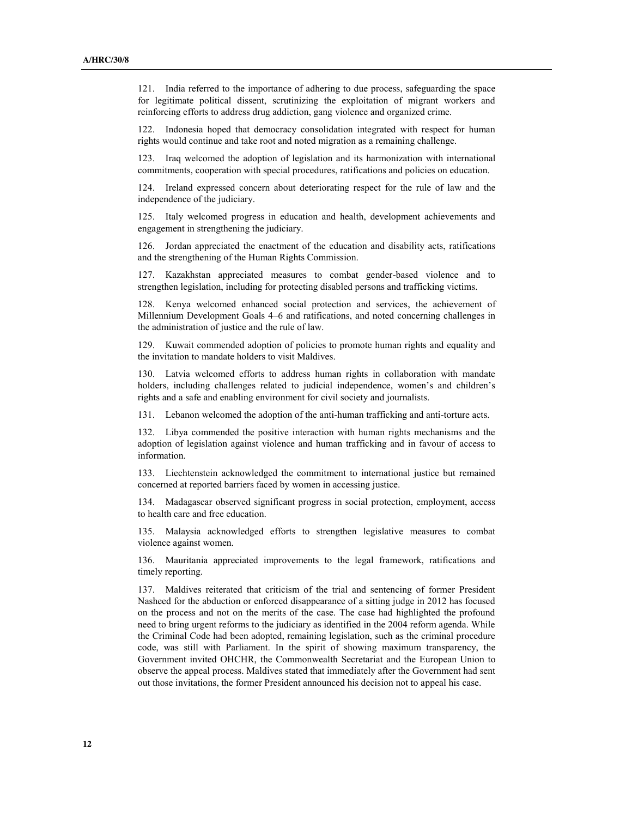121. India referred to the importance of adhering to due process, safeguarding the space for legitimate political dissent, scrutinizing the exploitation of migrant workers and reinforcing efforts to address drug addiction, gang violence and organized crime.

122. Indonesia hoped that democracy consolidation integrated with respect for human rights would continue and take root and noted migration as a remaining challenge.

123. Iraq welcomed the adoption of legislation and its harmonization with international commitments, cooperation with special procedures, ratifications and policies on education.

124. Ireland expressed concern about deteriorating respect for the rule of law and the independence of the judiciary.

125. Italy welcomed progress in education and health, development achievements and engagement in strengthening the judiciary.

126. Jordan appreciated the enactment of the education and disability acts, ratifications and the strengthening of the Human Rights Commission.

127. Kazakhstan appreciated measures to combat gender-based violence and to strengthen legislation, including for protecting disabled persons and trafficking victims.

128. Kenya welcomed enhanced social protection and services, the achievement of Millennium Development Goals 4–6 and ratifications, and noted concerning challenges in the administration of justice and the rule of law.

129. Kuwait commended adoption of policies to promote human rights and equality and the invitation to mandate holders to visit Maldives.

130. Latvia welcomed efforts to address human rights in collaboration with mandate holders, including challenges related to judicial independence, women's and children's rights and a safe and enabling environment for civil society and journalists.

131. Lebanon welcomed the adoption of the anti-human trafficking and anti-torture acts.

132. Libya commended the positive interaction with human rights mechanisms and the adoption of legislation against violence and human trafficking and in favour of access to information.

133. Liechtenstein acknowledged the commitment to international justice but remained concerned at reported barriers faced by women in accessing justice.

134. Madagascar observed significant progress in social protection, employment, access to health care and free education.

135. Malaysia acknowledged efforts to strengthen legislative measures to combat violence against women.

136. Mauritania appreciated improvements to the legal framework, ratifications and timely reporting.

137. Maldives reiterated that criticism of the trial and sentencing of former President Nasheed for the abduction or enforced disappearance of a sitting judge in 2012 has focused on the process and not on the merits of the case. The case had highlighted the profound need to bring urgent reforms to the judiciary as identified in the 2004 reform agenda. While the Criminal Code had been adopted, remaining legislation, such as the criminal procedure code, was still with Parliament. In the spirit of showing maximum transparency, the Government invited OHCHR, the Commonwealth Secretariat and the European Union to observe the appeal process. Maldives stated that immediately after the Government had sent out those invitations, the former President announced his decision not to appeal his case.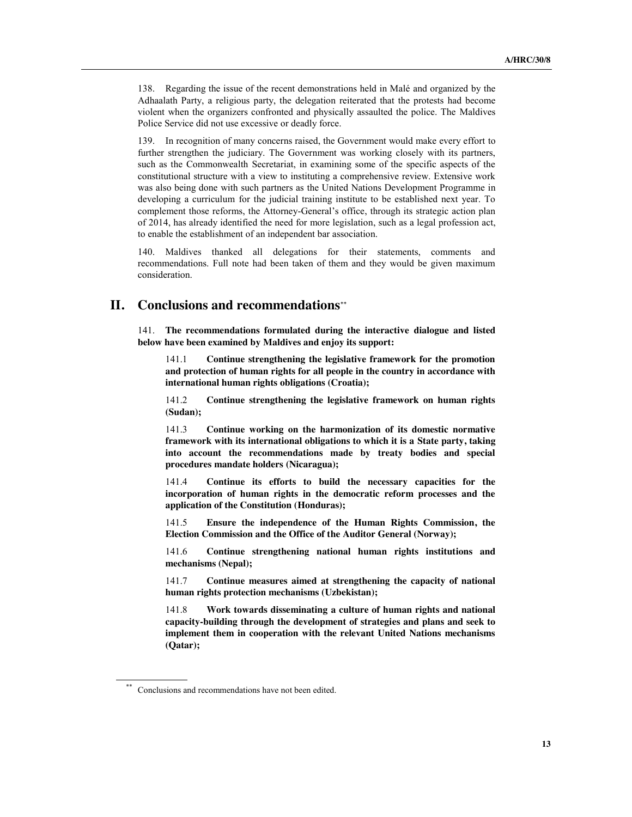138. Regarding the issue of the recent demonstrations held in Malé and organized by the Adhaalath Party, a religious party, the delegation reiterated that the protests had become violent when the organizers confronted and physically assaulted the police. The Maldives Police Service did not use excessive or deadly force.

139. In recognition of many concerns raised, the Government would make every effort to further strengthen the judiciary. The Government was working closely with its partners, such as the Commonwealth Secretariat, in examining some of the specific aspects of the constitutional structure with a view to instituting a comprehensive review. Extensive work was also being done with such partners as the United Nations Development Programme in developing a curriculum for the judicial training institute to be established next year. To complement those reforms, the Attorney-General's office, through its strategic action plan of 2014, has already identified the need for more legislation, such as a legal profession act, to enable the establishment of an independent bar association.

140. Maldives thanked all delegations for their statements, comments and recommendations. Full note had been taken of them and they would be given maximum consideration.

## **II. Conclusions and recommendations**

141. **The recommendations formulated during the interactive dialogue and listed below have been examined by Maldives and enjoy its support:**

141.1 **Continue strengthening the legislative framework for the promotion and protection of human rights for all people in the country in accordance with international human rights obligations (Croatia);**

141.2 **Continue strengthening the legislative framework on human rights (Sudan);**

141.3 **Continue working on the harmonization of its domestic normative framework with its international obligations to which it is a State party, taking into account the recommendations made by treaty bodies and special procedures mandate holders (Nicaragua);**

141.4 **Continue its efforts to build the necessary capacities for the incorporation of human rights in the democratic reform processes and the application of the Constitution (Honduras);**

141.5 **Ensure the independence of the Human Rights Commission, the Election Commission and the Office of the Auditor General (Norway);**

141.6 **Continue strengthening national human rights institutions and mechanisms (Nepal);**

141.7 **Continue measures aimed at strengthening the capacity of national human rights protection mechanisms (Uzbekistan);**

141.8 **Work towards disseminating a culture of human rights and national capacity-building through the development of strategies and plans and seek to implement them in cooperation with the relevant United Nations mechanisms (Qatar);** 

Conclusions and recommendations have not been edited.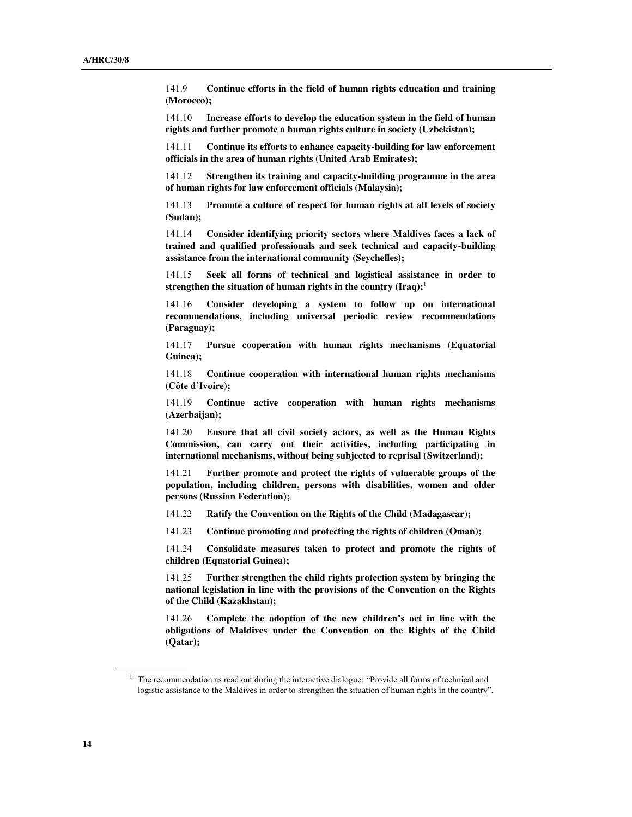141.9 **Continue efforts in the field of human rights education and training (Morocco);**

141.10 **Increase efforts to develop the education system in the field of human rights and further promote a human rights culture in society (Uzbekistan);**

141.11 **Continue its efforts to enhance capacity-building for law enforcement officials in the area of human rights (United Arab Emirates);**

141.12 **Strengthen its training and capacity-building programme in the area of human rights for law enforcement officials (Malaysia);**

141.13 **Promote a culture of respect for human rights at all levels of society (Sudan);**

141.14 **Consider identifying priority sectors where Maldives faces a lack of trained and qualified professionals and seek technical and capacity-building assistance from the international community (Seychelles);**

141.15 **Seek all forms of technical and logistical assistance in order to strengthen the situation of human rights in the country (Iraq);**<sup>1</sup>

141.16 **Consider developing a system to follow up on international recommendations, including universal periodic review recommendations (Paraguay);**

141.17 **Pursue cooperation with human rights mechanisms (Equatorial Guinea);**

141.18 **Continue cooperation with international human rights mechanisms (Côte d'Ivoire);**

141.19 **Continue active cooperation with human rights mechanisms (Azerbaijan);**

141.20 **Ensure that all civil society actors, as well as the Human Rights Commission, can carry out their activities, including participating in international mechanisms, without being subjected to reprisal (Switzerland);**

141.21 **Further promote and protect the rights of vulnerable groups of the population, including children, persons with disabilities, women and older persons (Russian Federation);**

141.22 **Ratify the Convention on the Rights of the Child (Madagascar);** 

141.23 **Continue promoting and protecting the rights of children (Oman);**

141.24 **Consolidate measures taken to protect and promote the rights of children (Equatorial Guinea);**

141.25 **Further strengthen the child rights protection system by bringing the national legislation in line with the provisions of the Convention on the Rights of the Child (Kazakhstan);**

141.26 **Complete the adoption of the new children's act in line with the obligations of Maldives under the Convention on the Rights of the Child (Qatar);**

 $1$  The recommendation as read out during the interactive dialogue: "Provide all forms of technical and logistic assistance to the Maldives in order to strengthen the situation of human rights in the country".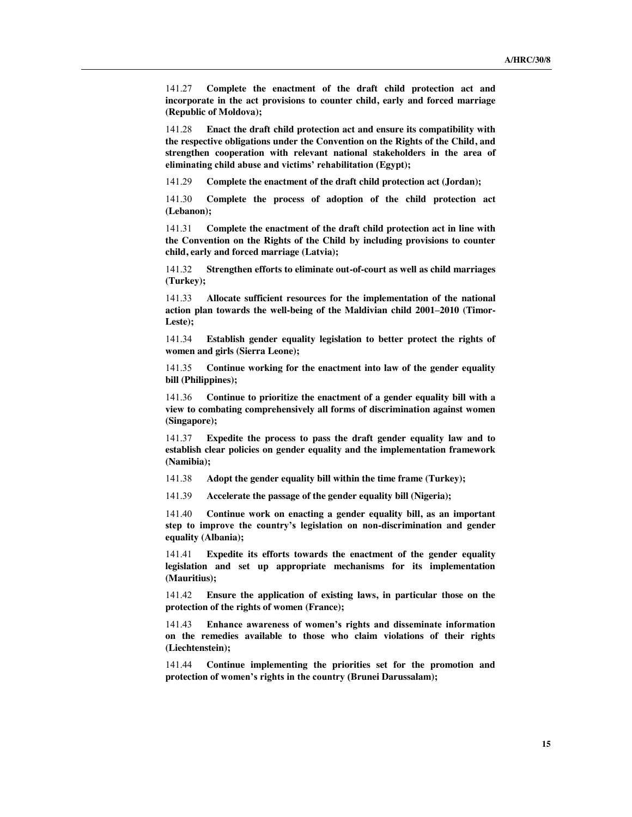141.27 **Complete the enactment of the draft child protection act and incorporate in the act provisions to counter child, early and forced marriage (Republic of Moldova);**

141.28 **Enact the draft child protection act and ensure its compatibility with the respective obligations under the Convention on the Rights of the Child, and strengthen cooperation with relevant national stakeholders in the area of eliminating child abuse and victims' rehabilitation (Egypt);**

141.29 **Complete the enactment of the draft child protection act (Jordan);**

141.30 **Complete the process of adoption of the child protection act (Lebanon);**

141.31 **Complete the enactment of the draft child protection act in line with the Convention on the Rights of the Child by including provisions to counter child, early and forced marriage (Latvia);**

141.32 **Strengthen efforts to eliminate out-of-court as well as child marriages (Turkey);**

141.33 **Allocate sufficient resources for the implementation of the national action plan towards the well-being of the Maldivian child 2001–2010 (Timor-Leste);**

141.34 **Establish gender equality legislation to better protect the rights of women and girls (Sierra Leone);**

141.35 **Continue working for the enactment into law of the gender equality bill (Philippines);**

141.36 **Continue to prioritize the enactment of a gender equality bill with a view to combating comprehensively all forms of discrimination against women (Singapore);**

141.37 **Expedite the process to pass the draft gender equality law and to establish clear policies on gender equality and the implementation framework (Namibia);**

141.38 **Adopt the gender equality bill within the time frame (Turkey);**

141.39 **Accelerate the passage of the gender equality bill (Nigeria);**

141.40 **Continue work on enacting a gender equality bill, as an important step to improve the country's legislation on non-discrimination and gender equality (Albania);**

141.41 **Expedite its efforts towards the enactment of the gender equality legislation and set up appropriate mechanisms for its implementation (Mauritius);**

141.42 **Ensure the application of existing laws, in particular those on the protection of the rights of women (France);**

141.43 **Enhance awareness of women's rights and disseminate information on the remedies available to those who claim violations of their rights (Liechtenstein);**

141.44 **Continue implementing the priorities set for the promotion and protection of women's rights in the country (Brunei Darussalam);**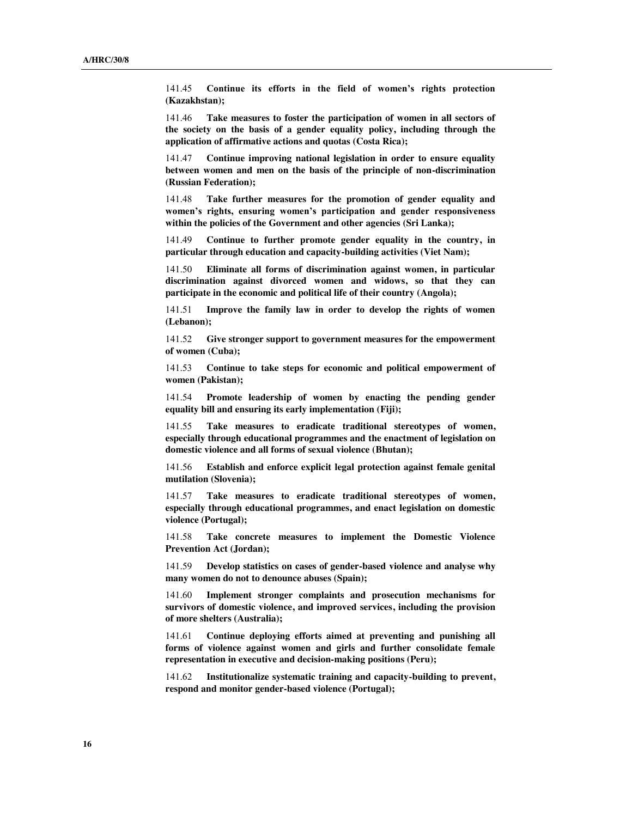141.45 **Continue its efforts in the field of women's rights protection (Kazakhstan);**

141.46 **Take measures to foster the participation of women in all sectors of the society on the basis of a gender equality policy, including through the application of affirmative actions and quotas (Costa Rica);**

141.47 **Continue improving national legislation in order to ensure equality between women and men on the basis of the principle of non-discrimination (Russian Federation);**

141.48 **Take further measures for the promotion of gender equality and women's rights, ensuring women's participation and gender responsiveness within the policies of the Government and other agencies (Sri Lanka);**

141.49 **Continue to further promote gender equality in the country, in particular through education and capacity-building activities (Viet Nam);**

141.50 **Eliminate all forms of discrimination against women, in particular discrimination against divorced women and widows, so that they can participate in the economic and political life of their country (Angola);**

141.51 **Improve the family law in order to develop the rights of women (Lebanon);**

141.52 **Give stronger support to government measures for the empowerment of women (Cuba);**

141.53 **Continue to take steps for economic and political empowerment of women (Pakistan);**

141.54 **Promote leadership of women by enacting the pending gender equality bill and ensuring its early implementation (Fiji);**

141.55 **Take measures to eradicate traditional stereotypes of women, especially through educational programmes and the enactment of legislation on domestic violence and all forms of sexual violence (Bhutan);**

141.56 **Establish and enforce explicit legal protection against female genital mutilation (Slovenia);**

141.57 **Take measures to eradicate traditional stereotypes of women, especially through educational programmes, and enact legislation on domestic violence (Portugal);**

141.58 **Take concrete measures to implement the Domestic Violence Prevention Act (Jordan);**

141.59 **Develop statistics on cases of gender-based violence and analyse why many women do not to denounce abuses (Spain);**

141.60 **Implement stronger complaints and prosecution mechanisms for survivors of domestic violence, and improved services, including the provision of more shelters (Australia);**

141.61 **Continue deploying efforts aimed at preventing and punishing all forms of violence against women and girls and further consolidate female representation in executive and decision-making positions (Peru);**

141.62 **Institutionalize systematic training and capacity-building to prevent, respond and monitor gender-based violence (Portugal);**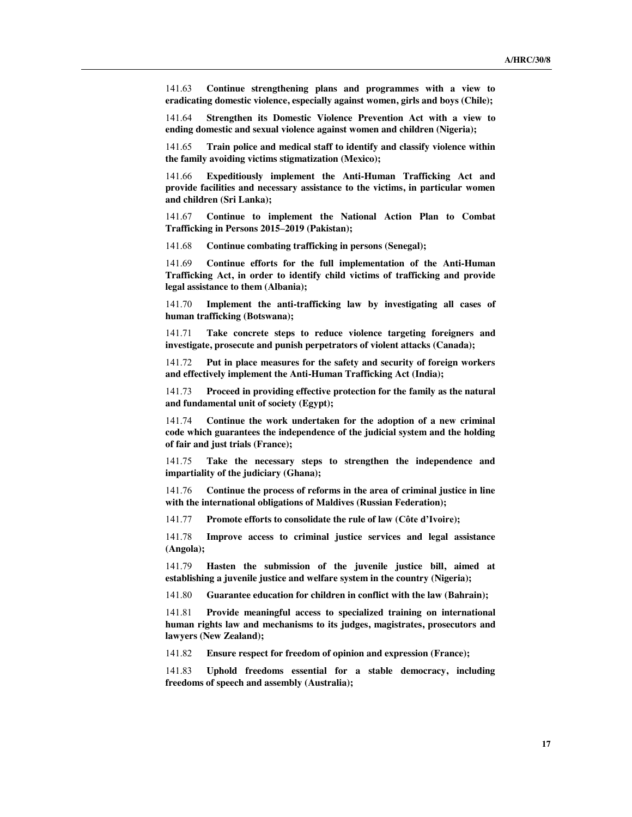141.63 **Continue strengthening plans and programmes with a view to eradicating domestic violence, especially against women, girls and boys (Chile);**

141.64 **Strengthen its Domestic Violence Prevention Act with a view to ending domestic and sexual violence against women and children (Nigeria);**

141.65 **Train police and medical staff to identify and classify violence within the family avoiding victims stigmatization (Mexico);**

141.66 **Expeditiously implement the Anti-Human Trafficking Act and provide facilities and necessary assistance to the victims, in particular women and children (Sri Lanka);**

141.67 **Continue to implement the National Action Plan to Combat Trafficking in Persons 2015–2019 (Pakistan);**

141.68 **Continue combating trafficking in persons (Senegal);**

141.69 **Continue efforts for the full implementation of the Anti-Human Trafficking Act, in order to identify child victims of trafficking and provide legal assistance to them (Albania);**

141.70 **Implement the anti-trafficking law by investigating all cases of human trafficking (Botswana);**

141.71 **Take concrete steps to reduce violence targeting foreigners and investigate, prosecute and punish perpetrators of violent attacks (Canada);**

141.72 **Put in place measures for the safety and security of foreign workers and effectively implement the Anti-Human Trafficking Act (India);**

141.73 **Proceed in providing effective protection for the family as the natural and fundamental unit of society (Egypt);**

141.74 **Continue the work undertaken for the adoption of a new criminal code which guarantees the independence of the judicial system and the holding of fair and just trials (France);**

141.75 **Take the necessary steps to strengthen the independence and impartiality of the judiciary (Ghana);**

141.76 **Continue the process of reforms in the area of criminal justice in line with the international obligations of Maldives (Russian Federation);**

141.77 **Promote efforts to consolidate the rule of law (Côte d'Ivoire);**

141.78 **Improve access to criminal justice services and legal assistance (Angola);**

141.79 **Hasten the submission of the juvenile justice bill, aimed at establishing a juvenile justice and welfare system in the country (Nigeria);**

141.80 **Guarantee education for children in conflict with the law (Bahrain);**

141.81 **Provide meaningful access to specialized training on international human rights law and mechanisms to its judges, magistrates, prosecutors and lawyers (New Zealand);**

141.82 **Ensure respect for freedom of opinion and expression (France);**

141.83 **Uphold freedoms essential for a stable democracy, including freedoms of speech and assembly (Australia);**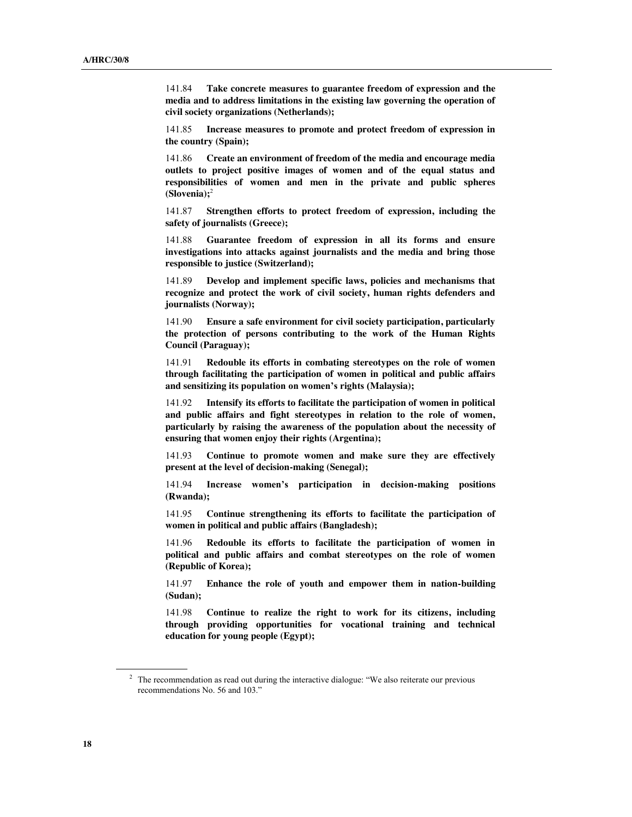141.84 **Take concrete measures to guarantee freedom of expression and the media and to address limitations in the existing law governing the operation of civil society organizations (Netherlands);**

141.85 **Increase measures to promote and protect freedom of expression in the country (Spain);**

141.86 **Create an environment of freedom of the media and encourage media outlets to project positive images of women and of the equal status and responsibilities of women and men in the private and public spheres (Slovenia);**<sup>2</sup>

141.87 **Strengthen efforts to protect freedom of expression, including the safety of journalists (Greece);**

141.88 **Guarantee freedom of expression in all its forms and ensure investigations into attacks against journalists and the media and bring those responsible to justice (Switzerland);**

141.89 **Develop and implement specific laws, policies and mechanisms that recognize and protect the work of civil society, human rights defenders and journalists (Norway);**

141.90 **Ensure a safe environment for civil society participation, particularly the protection of persons contributing to the work of the Human Rights Council (Paraguay);**

141.91 **Redouble its efforts in combating stereotypes on the role of women through facilitating the participation of women in political and public affairs and sensitizing its population on women's rights (Malaysia);**

141.92 **Intensify its efforts to facilitate the participation of women in political and public affairs and fight stereotypes in relation to the role of women, particularly by raising the awareness of the population about the necessity of ensuring that women enjoy their rights (Argentina);**

141.93 **Continue to promote women and make sure they are effectively present at the level of decision-making (Senegal);**

141.94 **Increase women's participation in decision-making positions (Rwanda);**

141.95 **Continue strengthening its efforts to facilitate the participation of women in political and public affairs (Bangladesh);**

141.96 **Redouble its efforts to facilitate the participation of women in political and public affairs and combat stereotypes on the role of women (Republic of Korea);**

141.97 **Enhance the role of youth and empower them in nation-building (Sudan);**

141.98 **Continue to realize the right to work for its citizens, including through providing opportunities for vocational training and technical education for young people (Egypt);**

<sup>&</sup>lt;sup>2</sup> The recommendation as read out during the interactive dialogue: "We also reiterate our previous recommendations No. 56 and 103."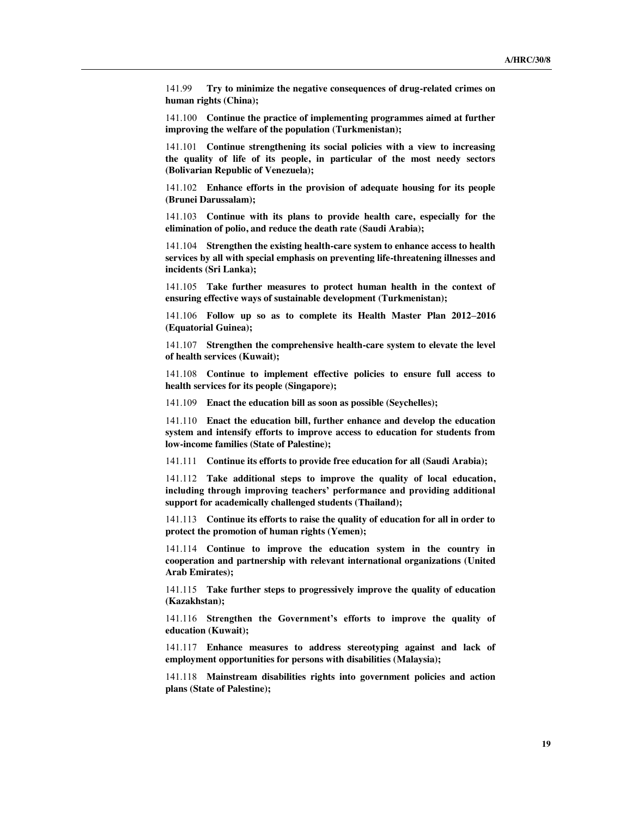141.99 **Try to minimize the negative consequences of drug-related crimes on human rights (China);**

141.100 **Continue the practice of implementing programmes aimed at further improving the welfare of the population (Turkmenistan);**

141.101 **Continue strengthening its social policies with a view to increasing the quality of life of its people, in particular of the most needy sectors (Bolivarian Republic of Venezuela);**

141.102 **Enhance efforts in the provision of adequate housing for its people (Brunei Darussalam);**

141.103 **Continue with its plans to provide health care, especially for the elimination of polio, and reduce the death rate (Saudi Arabia);**

141.104 **Strengthen the existing health-care system to enhance access to health services by all with special emphasis on preventing life-threatening illnesses and incidents (Sri Lanka);**

141.105 **Take further measures to protect human health in the context of ensuring effective ways of sustainable development (Turkmenistan);**

141.106 **Follow up so as to complete its Health Master Plan 2012–2016 (Equatorial Guinea);**

141.107 **Strengthen the comprehensive health-care system to elevate the level of health services (Kuwait);**

141.108 **Continue to implement effective policies to ensure full access to health services for its people (Singapore);**

141.109 **Enact the education bill as soon as possible (Seychelles);**

141.110 **Enact the education bill, further enhance and develop the education system and intensify efforts to improve access to education for students from low-income families (State of Palestine);**

141.111 **Continue its efforts to provide free education for all (Saudi Arabia);**

141.112 **Take additional steps to improve the quality of local education, including through improving teachers' performance and providing additional support for academically challenged students (Thailand);**

141.113 **Continue its efforts to raise the quality of education for all in order to protect the promotion of human rights (Yemen);**

141.114 **Continue to improve the education system in the country in cooperation and partnership with relevant international organizations (United Arab Emirates);**

141.115 **Take further steps to progressively improve the quality of education (Kazakhstan);**

141.116 **Strengthen the Government's efforts to improve the quality of education (Kuwait);**

141.117 **Enhance measures to address stereotyping against and lack of employment opportunities for persons with disabilities (Malaysia);**

141.118 **Mainstream disabilities rights into government policies and action plans (State of Palestine);**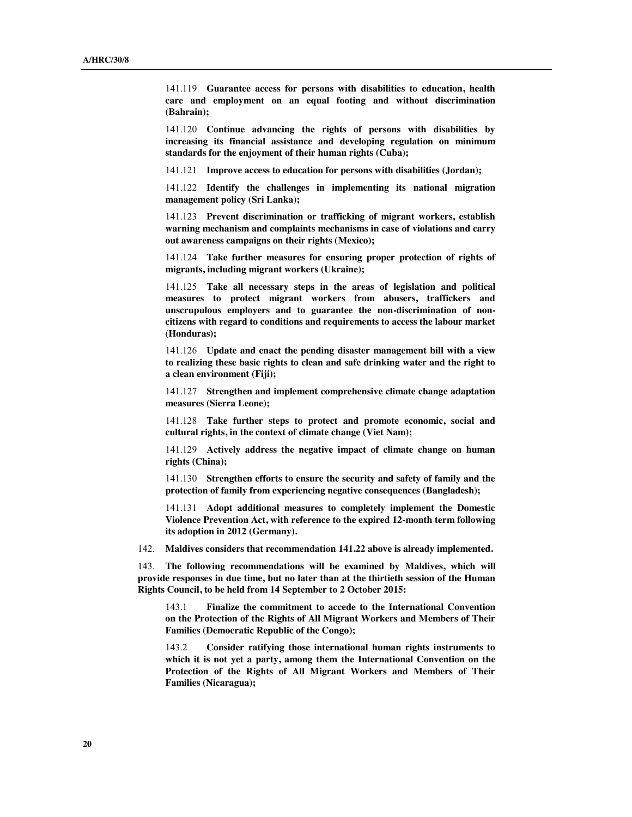141.119 **Guarantee access for persons with disabilities to education, health care and employment on an equal footing and without discrimination (Bahrain);**

141.120 **Continue advancing the rights of persons with disabilities by increasing its financial assistance and developing regulation on minimum standards for the enjoyment of their human rights (Cuba);**

141.121 **Improve access to education for persons with disabilities (Jordan);**

141.122 **Identify the challenges in implementing its national migration management policy (Sri Lanka);** 

141.123 **Prevent discrimination or trafficking of migrant workers, establish warning mechanism and complaints mechanisms in case of violations and carry out awareness campaigns on their rights (Mexico);**

141.124 **Take further measures for ensuring proper protection of rights of migrants, including migrant workers (Ukraine);**

141.125 **Take all necessary steps in the areas of legislation and political measures to protect migrant workers from abusers, traffickers and unscrupulous employers and to guarantee the non-discrimination of noncitizens with regard to conditions and requirements to access the labour market (Honduras);**

141.126 **Update and enact the pending disaster management bill with a view to realizing these basic rights to clean and safe drinking water and the right to a clean environment (Fiji);**

141.127 **Strengthen and implement comprehensive climate change adaptation measures (Sierra Leone);**

141.128 **Take further steps to protect and promote economic, social and cultural rights, in the context of climate change (Viet Nam);**

141.129 **Actively address the negative impact of climate change on human rights (China);**

141.130 **Strengthen efforts to ensure the security and safety of family and the protection of family from experiencing negative consequences (Bangladesh);**

141.131 **Adopt additional measures to completely implement the Domestic Violence Prevention Act, with reference to the expired 12-month term following its adoption in 2012 (Germany).**

142. **Maldives considers that recommendation 141.22 above is already implemented.** 

143. **The following recommendations will be examined by Maldives, which will provide responses in due time, but no later than at the thirtieth session of the Human Rights Council, to be held from 14 September to 2 October 2015:**

143.1 **Finalize the commitment to accede to the International Convention on the Protection of the Rights of All Migrant Workers and Members of Their Families (Democratic Republic of the Congo);**

143.2 **Consider ratifying those international human rights instruments to which it is not yet a party, among them the International Convention on the Protection of the Rights of All Migrant Workers and Members of Their Families (Nicaragua);**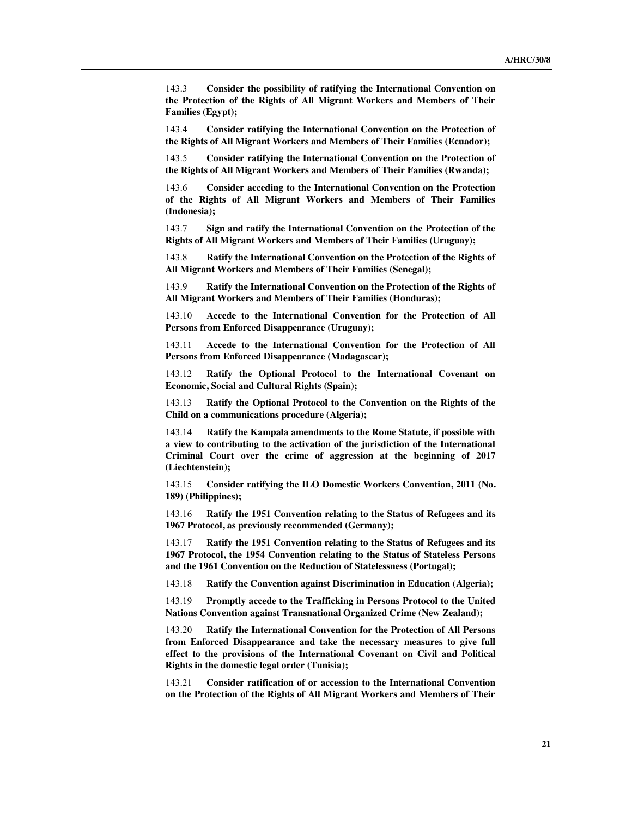143.3 **Consider the possibility of ratifying the International Convention on the Protection of the Rights of All Migrant Workers and Members of Their Families (Egypt);**

143.4 **Consider ratifying the International Convention on the Protection of the Rights of All Migrant Workers and Members of Their Families (Ecuador);**

143.5 **Consider ratifying the International Convention on the Protection of the Rights of All Migrant Workers and Members of Their Families (Rwanda);**

143.6 **Consider acceding to the International Convention on the Protection of the Rights of All Migrant Workers and Members of Their Families (Indonesia);**

143.7 **Sign and ratify the International Convention on the Protection of the Rights of All Migrant Workers and Members of Their Families (Uruguay);**

143.8 **Ratify the International Convention on the Protection of the Rights of All Migrant Workers and Members of Their Families (Senegal);**

143.9 **Ratify the International Convention on the Protection of the Rights of All Migrant Workers and Members of Their Families (Honduras);**

143.10 **Accede to the International Convention for the Protection of All Persons from Enforced Disappearance (Uruguay);**

143.11 **Accede to the International Convention for the Protection of All Persons from Enforced Disappearance (Madagascar);**

143.12 **Ratify the Optional Protocol to the International Covenant on Economic, Social and Cultural Rights (Spain);**

143.13 **Ratify the Optional Protocol to the Convention on the Rights of the Child on a communications procedure (Algeria);**

143.14 **Ratify the Kampala amendments to the Rome Statute, if possible with a view to contributing to the activation of the jurisdiction of the International Criminal Court over the crime of aggression at the beginning of 2017 (Liechtenstein);**

143.15 **Consider ratifying the ILO Domestic Workers Convention, 2011 (No. 189) (Philippines);**

143.16 **Ratify the 1951 Convention relating to the Status of Refugees and its 1967 Protocol, as previously recommended (Germany);**

143.17 **Ratify the 1951 Convention relating to the Status of Refugees and its 1967 Protocol, the 1954 Convention relating to the Status of Stateless Persons and the 1961 Convention on the Reduction of Statelessness (Portugal);**

143.18 **Ratify the Convention against Discrimination in Education (Algeria);**

143.19 **Promptly accede to the Trafficking in Persons Protocol to the United Nations Convention against Transnational Organized Crime (New Zealand);**

143.20 **Ratify the International Convention for the Protection of All Persons from Enforced Disappearance and take the necessary measures to give full effect to the provisions of the International Covenant on Civil and Political Rights in the domestic legal order (Tunisia);**

143.21 **Consider ratification of or accession to the International Convention on the Protection of the Rights of All Migrant Workers and Members of Their**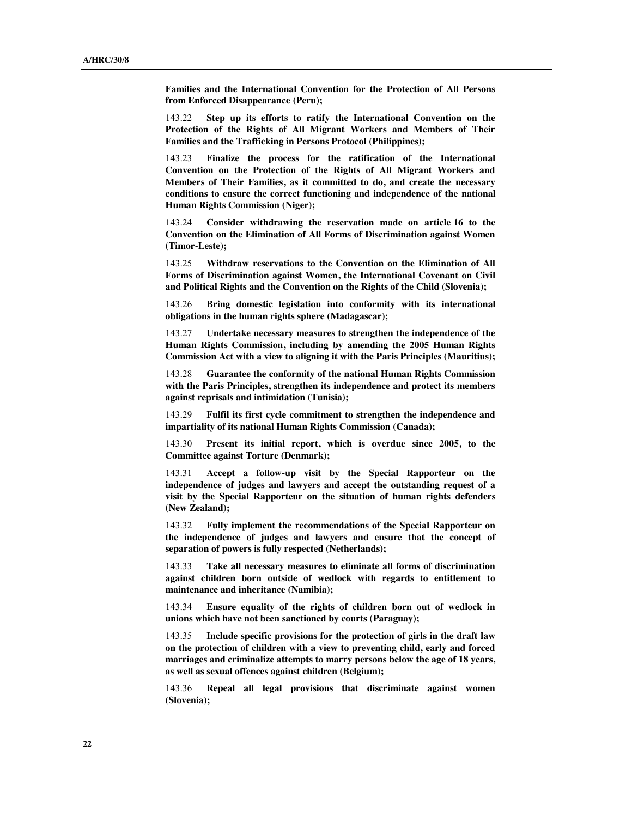**Families and the International Convention for the Protection of All Persons from Enforced Disappearance (Peru);**

143.22 **Step up its efforts to ratify the International Convention on the Protection of the Rights of All Migrant Workers and Members of Their Families and the Trafficking in Persons Protocol (Philippines);**

143.23 **Finalize the process for the ratification of the International Convention on the Protection of the Rights of All Migrant Workers and Members of Their Families, as it committed to do, and create the necessary conditions to ensure the correct functioning and independence of the national Human Rights Commission (Niger);**

143.24 **Consider withdrawing the reservation made on article 16 to the Convention on the Elimination of All Forms of Discrimination against Women (Timor-Leste);**

143.25 **Withdraw reservations to the Convention on the Elimination of All Forms of Discrimination against Women, the International Covenant on Civil and Political Rights and the Convention on the Rights of the Child (Slovenia);**

143.26 **Bring domestic legislation into conformity with its international obligations in the human rights sphere (Madagascar);**

143.27 **Undertake necessary measures to strengthen the independence of the Human Rights Commission, including by amending the 2005 Human Rights Commission Act with a view to aligning it with the Paris Principles (Mauritius);**

143.28 **Guarantee the conformity of the national Human Rights Commission with the Paris Principles, strengthen its independence and protect its members against reprisals and intimidation (Tunisia);**

143.29 **Fulfil its first cycle commitment to strengthen the independence and impartiality of its national Human Rights Commission (Canada);**

143.30 **Present its initial report, which is overdue since 2005, to the Committee against Torture (Denmark);**

143.31 **Accept a follow-up visit by the Special Rapporteur on the independence of judges and lawyers and accept the outstanding request of a visit by the Special Rapporteur on the situation of human rights defenders (New Zealand);**

143.32 **Fully implement the recommendations of the Special Rapporteur on the independence of judges and lawyers and ensure that the concept of separation of powers is fully respected (Netherlands);**

143.33 **Take all necessary measures to eliminate all forms of discrimination against children born outside of wedlock with regards to entitlement to maintenance and inheritance (Namibia);**

143.34 **Ensure equality of the rights of children born out of wedlock in unions which have not been sanctioned by courts (Paraguay);**

143.35 **Include specific provisions for the protection of girls in the draft law on the protection of children with a view to preventing child, early and forced marriages and criminalize attempts to marry persons below the age of 18 years, as well as sexual offences against children (Belgium);**

143.36 **Repeal all legal provisions that discriminate against women (Slovenia);**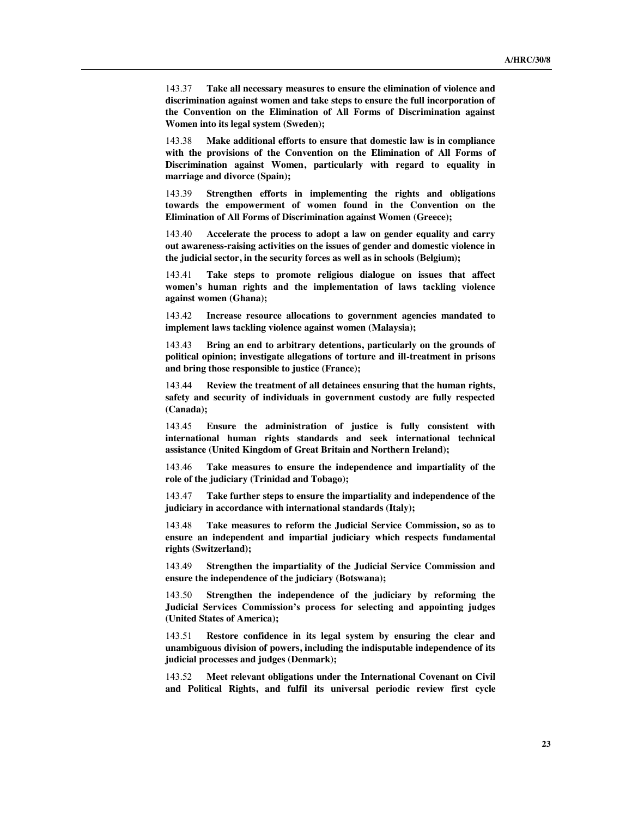143.37 **Take all necessary measures to ensure the elimination of violence and discrimination against women and take steps to ensure the full incorporation of the Convention on the Elimination of All Forms of Discrimination against Women into its legal system (Sweden);**

143.38 **Make additional efforts to ensure that domestic law is in compliance with the provisions of the Convention on the Elimination of All Forms of Discrimination against Women, particularly with regard to equality in marriage and divorce (Spain);**

143.39 **Strengthen efforts in implementing the rights and obligations towards the empowerment of women found in the Convention on the Elimination of All Forms of Discrimination against Women (Greece);**

143.40 **Accelerate the process to adopt a law on gender equality and carry out awareness-raising activities on the issues of gender and domestic violence in the judicial sector, in the security forces as well as in schools (Belgium);**

143.41 **Take steps to promote religious dialogue on issues that affect women's human rights and the implementation of laws tackling violence against women (Ghana);**

143.42 **Increase resource allocations to government agencies mandated to implement laws tackling violence against women (Malaysia);**

143.43 **Bring an end to arbitrary detentions, particularly on the grounds of political opinion; investigate allegations of torture and ill-treatment in prisons and bring those responsible to justice (France);**

143.44 **Review the treatment of all detainees ensuring that the human rights, safety and security of individuals in government custody are fully respected (Canada);**

143.45 **Ensure the administration of justice is fully consistent with international human rights standards and seek international technical assistance (United Kingdom of Great Britain and Northern Ireland);**

143.46 **Take measures to ensure the independence and impartiality of the role of the judiciary (Trinidad and Tobago);**

143.47 **Take further steps to ensure the impartiality and independence of the judiciary in accordance with international standards (Italy);**

143.48 **Take measures to reform the Judicial Service Commission, so as to ensure an independent and impartial judiciary which respects fundamental rights (Switzerland);**

143.49 **Strengthen the impartiality of the Judicial Service Commission and ensure the independence of the judiciary (Botswana);**

143.50 **Strengthen the independence of the judiciary by reforming the Judicial Services Commission's process for selecting and appointing judges (United States of America);**

143.51 **Restore confidence in its legal system by ensuring the clear and unambiguous division of powers, including the indisputable independence of its judicial processes and judges (Denmark);**

143.52 **Meet relevant obligations under the International Covenant on Civil and Political Rights, and fulfil its universal periodic review first cycle**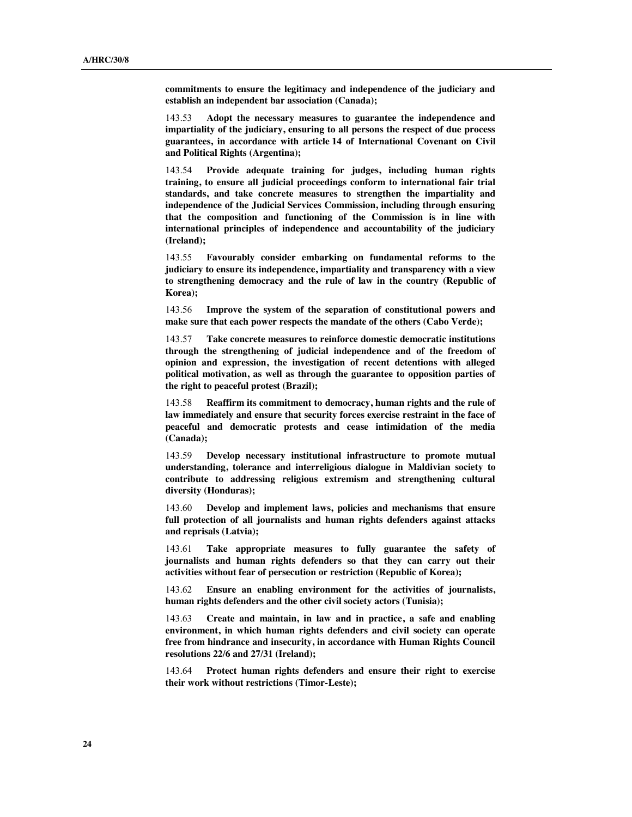**commitments to ensure the legitimacy and independence of the judiciary and establish an independent bar association (Canada);**

143.53 **Adopt the necessary measures to guarantee the independence and impartiality of the judiciary, ensuring to all persons the respect of due process guarantees, in accordance with article 14 of International Covenant on Civil and Political Rights (Argentina);**

143.54 **Provide adequate training for judges, including human rights training, to ensure all judicial proceedings conform to international fair trial standards, and take concrete measures to strengthen the impartiality and independence of the Judicial Services Commission, including through ensuring that the composition and functioning of the Commission is in line with international principles of independence and accountability of the judiciary (Ireland);**

143.55 **Favourably consider embarking on fundamental reforms to the judiciary to ensure its independence, impartiality and transparency with a view to strengthening democracy and the rule of law in the country (Republic of Korea);**

143.56 **Improve the system of the separation of constitutional powers and make sure that each power respects the mandate of the others (Cabo Verde);**

143.57 **Take concrete measures to reinforce domestic democratic institutions through the strengthening of judicial independence and of the freedom of opinion and expression, the investigation of recent detentions with alleged political motivation, as well as through the guarantee to opposition parties of the right to peaceful protest (Brazil);**

143.58 **Reaffirm its commitment to democracy, human rights and the rule of law immediately and ensure that security forces exercise restraint in the face of peaceful and democratic protests and cease intimidation of the media (Canada);**

143.59 **Develop necessary institutional infrastructure to promote mutual understanding, tolerance and interreligious dialogue in Maldivian society to contribute to addressing religious extremism and strengthening cultural diversity (Honduras);**

143.60 **Develop and implement laws, policies and mechanisms that ensure full protection of all journalists and human rights defenders against attacks and reprisals (Latvia);**

143.61 **Take appropriate measures to fully guarantee the safety of journalists and human rights defenders so that they can carry out their activities without fear of persecution or restriction (Republic of Korea);**

143.62 **Ensure an enabling environment for the activities of journalists, human rights defenders and the other civil society actors (Tunisia);**

143.63 **Create and maintain, in law and in practice, a safe and enabling environment, in which human rights defenders and civil society can operate free from hindrance and insecurity, in accordance with Human Rights Council resolutions 22/6 and 27/31 (Ireland);**

143.64 **Protect human rights defenders and ensure their right to exercise their work without restrictions (Timor-Leste);**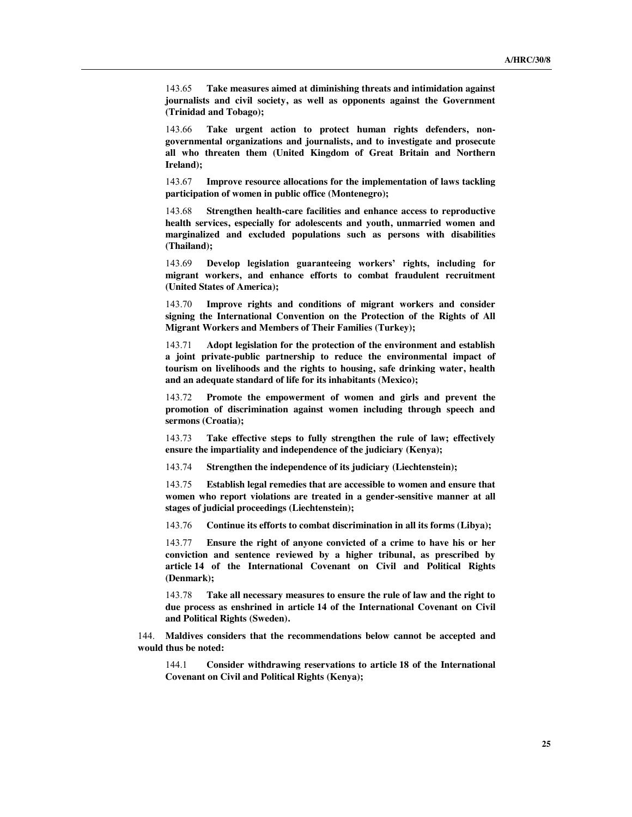143.65 **Take measures aimed at diminishing threats and intimidation against journalists and civil society, as well as opponents against the Government (Trinidad and Tobago);**

143.66 **Take urgent action to protect human rights defenders, nongovernmental organizations and journalists, and to investigate and prosecute all who threaten them (United Kingdom of Great Britain and Northern Ireland);**

143.67 **Improve resource allocations for the implementation of laws tackling participation of women in public office (Montenegro);**

143.68 **Strengthen health-care facilities and enhance access to reproductive health services, especially for adolescents and youth, unmarried women and marginalized and excluded populations such as persons with disabilities (Thailand);**

143.69 **Develop legislation guaranteeing workers' rights, including for migrant workers, and enhance efforts to combat fraudulent recruitment (United States of America);**

143.70 **Improve rights and conditions of migrant workers and consider signing the International Convention on the Protection of the Rights of All Migrant Workers and Members of Their Families (Turkey);**

143.71 **Adopt legislation for the protection of the environment and establish a joint private-public partnership to reduce the environmental impact of tourism on livelihoods and the rights to housing, safe drinking water, health and an adequate standard of life for its inhabitants (Mexico);**

143.72 **Promote the empowerment of women and girls and prevent the promotion of discrimination against women including through speech and sermons (Croatia);**

143.73 **Take effective steps to fully strengthen the rule of law; effectively ensure the impartiality and independence of the judiciary (Kenya);** 

143.74 **Strengthen the independence of its judiciary (Liechtenstein);**

143.75 **Establish legal remedies that are accessible to women and ensure that women who report violations are treated in a gender-sensitive manner at all stages of judicial proceedings (Liechtenstein);**

143.76 **Continue its efforts to combat discrimination in all its forms (Libya);**

143.77 **Ensure the right of anyone convicted of a crime to have his or her conviction and sentence reviewed by a higher tribunal, as prescribed by article 14 of the International Covenant on Civil and Political Rights (Denmark);**

143.78 **Take all necessary measures to ensure the rule of law and the right to due process as enshrined in article 14 of the International Covenant on Civil and Political Rights (Sweden).**

144. **Maldives considers that the recommendations below cannot be accepted and would thus be noted:**

144.1 **Consider withdrawing reservations to article 18 of the International Covenant on Civil and Political Rights (Kenya);**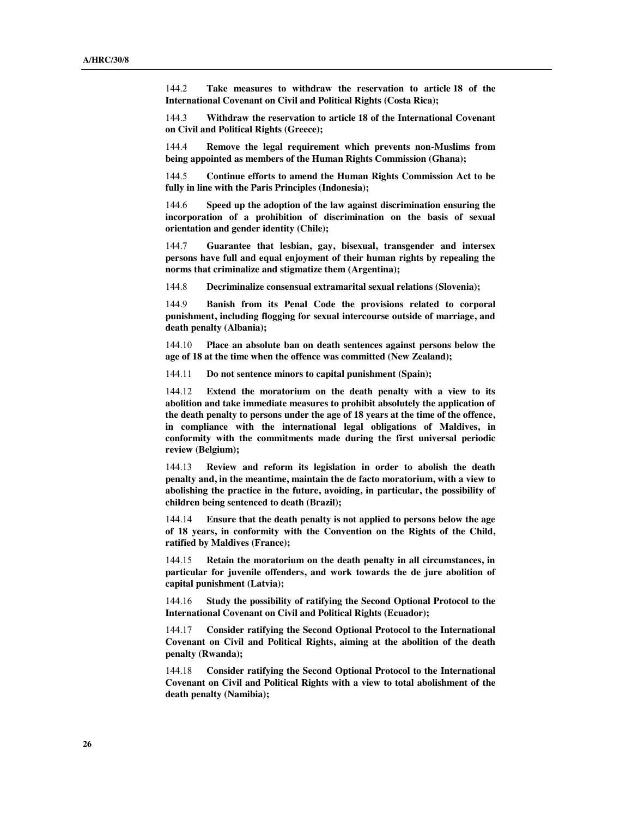144.2 **Take measures to withdraw the reservation to article 18 of the International Covenant on Civil and Political Rights (Costa Rica);**

144.3 **Withdraw the reservation to article 18 of the International Covenant on Civil and Political Rights (Greece);**

144.4 **Remove the legal requirement which prevents non-Muslims from being appointed as members of the Human Rights Commission (Ghana);**

144.5 **Continue efforts to amend the Human Rights Commission Act to be fully in line with the Paris Principles (Indonesia);**

144.6 **Speed up the adoption of the law against discrimination ensuring the incorporation of a prohibition of discrimination on the basis of sexual orientation and gender identity (Chile);**

144.7 **Guarantee that lesbian, gay, bisexual, transgender and intersex persons have full and equal enjoyment of their human rights by repealing the norms that criminalize and stigmatize them (Argentina);**

144.8 **Decriminalize consensual extramarital sexual relations (Slovenia);**

144.9 **Banish from its Penal Code the provisions related to corporal punishment, including flogging for sexual intercourse outside of marriage, and death penalty (Albania);**

144.10 **Place an absolute ban on death sentences against persons below the age of 18 at the time when the offence was committed (New Zealand);**

144.11 **Do not sentence minors to capital punishment (Spain);**

144.12 **Extend the moratorium on the death penalty with a view to its abolition and take immediate measures to prohibit absolutely the application of the death penalty to persons under the age of 18 years at the time of the offence, in compliance with the international legal obligations of Maldives, in conformity with the commitments made during the first universal periodic review (Belgium);**

144.13 **Review and reform its legislation in order to abolish the death penalty and, in the meantime, maintain the de facto moratorium, with a view to abolishing the practice in the future, avoiding, in particular, the possibility of children being sentenced to death (Brazil);**

144.14 **Ensure that the death penalty is not applied to persons below the age of 18 years, in conformity with the Convention on the Rights of the Child, ratified by Maldives (France);**

144.15 **Retain the moratorium on the death penalty in all circumstances, in particular for juvenile offenders, and work towards the de jure abolition of capital punishment (Latvia);**

144.16 **Study the possibility of ratifying the Second Optional Protocol to the International Covenant on Civil and Political Rights (Ecuador);**

144.17 **Consider ratifying the Second Optional Protocol to the International Covenant on Civil and Political Rights, aiming at the abolition of the death penalty (Rwanda);**

144.18 **Consider ratifying the Second Optional Protocol to the International Covenant on Civil and Political Rights with a view to total abolishment of the death penalty (Namibia);**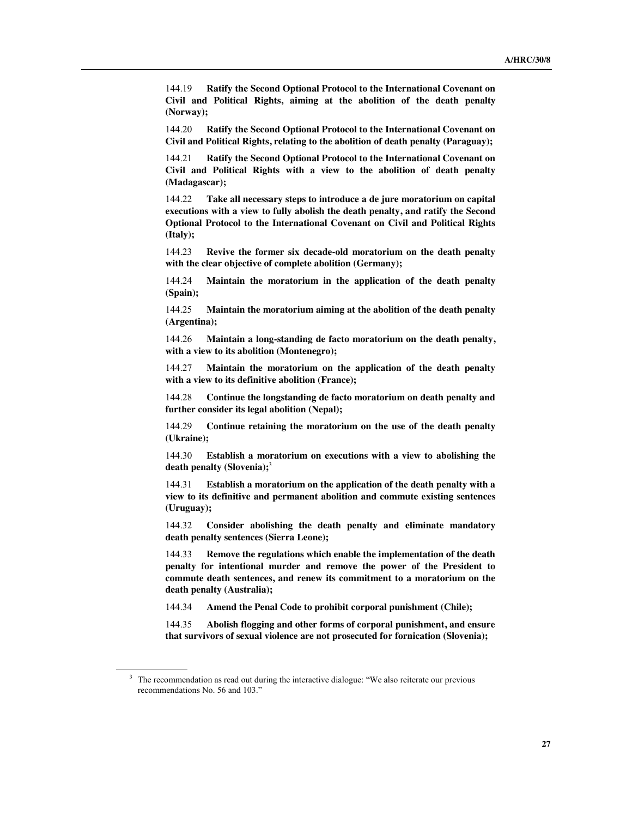144.19 **Ratify the Second Optional Protocol to the International Covenant on Civil and Political Rights, aiming at the abolition of the death penalty (Norway);**

144.20 **Ratify the Second Optional Protocol to the International Covenant on Civil and Political Rights, relating to the abolition of death penalty (Paraguay);**

144.21 **Ratify the Second Optional Protocol to the International Covenant on Civil and Political Rights with a view to the abolition of death penalty (Madagascar);**

144.22 **Take all necessary steps to introduce a de jure moratorium on capital executions with a view to fully abolish the death penalty, and ratify the Second Optional Protocol to the International Covenant on Civil and Political Rights (Italy);**

144.23 **Revive the former six decade-old moratorium on the death penalty with the clear objective of complete abolition (Germany);**

144.24 **Maintain the moratorium in the application of the death penalty (Spain);**

144.25 **Maintain the moratorium aiming at the abolition of the death penalty (Argentina);**

144.26 **Maintain a long-standing de facto moratorium on the death penalty, with a view to its abolition (Montenegro);**

144.27 **Maintain the moratorium on the application of the death penalty with a view to its definitive abolition (France);**

144.28 **Continue the longstanding de facto moratorium on death penalty and further consider its legal abolition (Nepal);**

144.29 **Continue retaining the moratorium on the use of the death penalty (Ukraine);**

144.30 **Establish a moratorium on executions with a view to abolishing the death penalty (Slovenia);**<sup>3</sup>

144.31 **Establish a moratorium on the application of the death penalty with a view to its definitive and permanent abolition and commute existing sentences (Uruguay);**

144.32 **Consider abolishing the death penalty and eliminate mandatory death penalty sentences (Sierra Leone);**

144.33 **Remove the regulations which enable the implementation of the death penalty for intentional murder and remove the power of the President to commute death sentences, and renew its commitment to a moratorium on the death penalty (Australia);**

144.34 **Amend the Penal Code to prohibit corporal punishment (Chile);**

144.35 **Abolish flogging and other forms of corporal punishment, and ensure that survivors of sexual violence are not prosecuted for fornication (Slovenia);**

<sup>&</sup>lt;sup>3</sup> The recommendation as read out during the interactive dialogue: "We also reiterate our previous recommendations No. 56 and 103."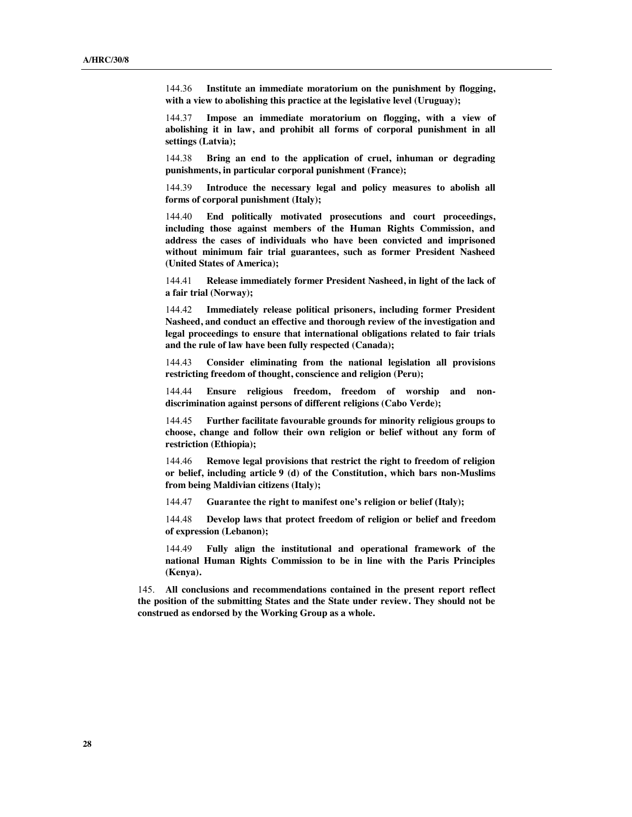144.36 **Institute an immediate moratorium on the punishment by flogging, with a view to abolishing this practice at the legislative level (Uruguay);**

144.37 **Impose an immediate moratorium on flogging, with a view of abolishing it in law, and prohibit all forms of corporal punishment in all settings (Latvia);**

144.38 **Bring an end to the application of cruel, inhuman or degrading punishments, in particular corporal punishment (France);**

144.39 **Introduce the necessary legal and policy measures to abolish all forms of corporal punishment (Italy);**

144.40 **End politically motivated prosecutions and court proceedings, including those against members of the Human Rights Commission, and address the cases of individuals who have been convicted and imprisoned without minimum fair trial guarantees, such as former President Nasheed (United States of America);**

144.41 **Release immediately former President Nasheed, in light of the lack of a fair trial (Norway);**

144.42 **Immediately release political prisoners, including former President Nasheed, and conduct an effective and thorough review of the investigation and legal proceedings to ensure that international obligations related to fair trials and the rule of law have been fully respected (Canada);**

144.43 **Consider eliminating from the national legislation all provisions restricting freedom of thought, conscience and religion (Peru);**

144.44 **Ensure religious freedom, freedom of worship and nondiscrimination against persons of different religions (Cabo Verde);**

144.45 **Further facilitate favourable grounds for minority religious groups to choose, change and follow their own religion or belief without any form of restriction (Ethiopia);**

144.46 **Remove legal provisions that restrict the right to freedom of religion or belief, including article 9 (d) of the Constitution, which bars non-Muslims from being Maldivian citizens (Italy);**

144.47 **Guarantee the right to manifest one's religion or belief (Italy);**

144.48 **Develop laws that protect freedom of religion or belief and freedom of expression (Lebanon);**

144.49 **Fully align the institutional and operational framework of the national Human Rights Commission to be in line with the Paris Principles (Kenya).**

145. **All conclusions and recommendations contained in the present report reflect the position of the submitting States and the State under review. They should not be construed as endorsed by the Working Group as a whole.**